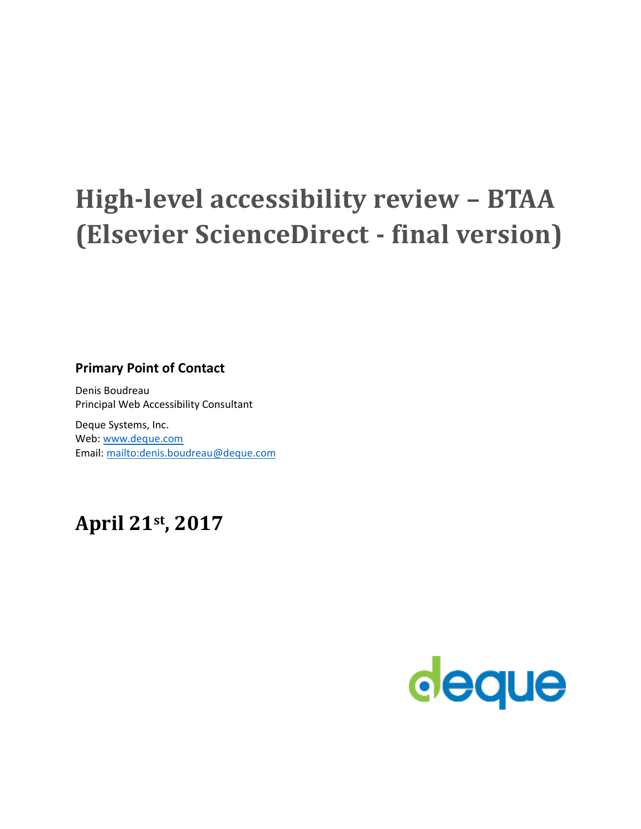# **High-level accessibility review – BTAA (Elsevier ScienceDirect - final version)**

#### **Primary Point of Contact**

Denis Boudreau Principal Web Accessibility Consultant

Deque Systems, Inc. Web: [www.deque.com](http://www.deque.com/) Email: [mailto:denis.boudreau@deque.com](mailto:)

# **April 21st, 2017**

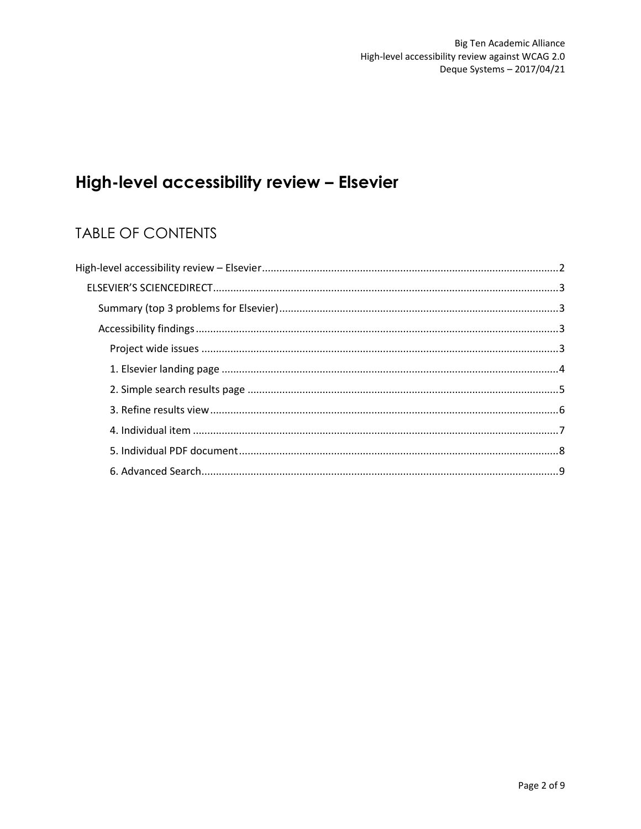## High-level accessibility review - Elsevier

### **TABLE OF CONTENTS**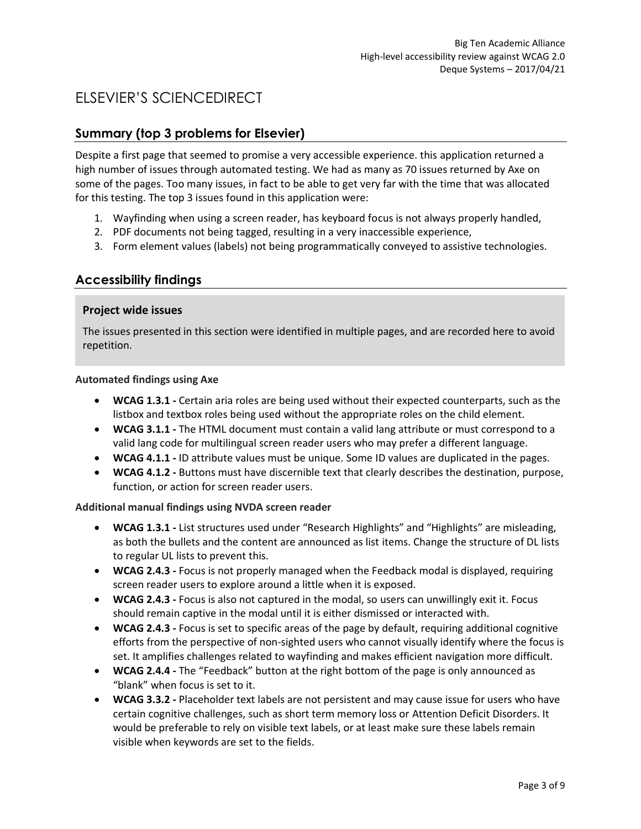### ELSEVIER'S SCIENCEDIRECT

#### **Summary (top 3 problems for Elsevier)**

Despite a first page that seemed to promise a very accessible experience. this application returned a high number of issues through automated testing. We had as many as 70 issues returned by Axe on some of the pages. Too many issues, in fact to be able to get very far with the time that was allocated for this testing. The top 3 issues found in this application were:

- 1. Wayfinding when using a screen reader, has keyboard focus is not always properly handled,
- 2. PDF documents not being tagged, resulting in a very inaccessible experience,
- 3. Form element values (labels) not being programmatically conveyed to assistive technologies.

#### **Accessibility findings**

#### **Project wide issues**

The issues presented in this section were identified in multiple pages, and are recorded here to avoid repetition.

#### **Automated findings using Axe**

- **WCAG 1.3.1 -** Certain aria roles are being used without their expected counterparts, such as the listbox and textbox roles being used without the appropriate roles on the child element.
- **WCAG 3.1.1 -** The HTML document must contain a valid lang attribute or must correspond to a valid lang code for multilingual screen reader users who may prefer a different language.
- **WCAG 4.1.1 -** ID attribute values must be unique. Some ID values are duplicated in the pages.
- **WCAG 4.1.2 -** Buttons must have discernible text that clearly describes the destination, purpose, function, or action for screen reader users.

- **WCAG 1.3.1 -** List structures used under "Research Highlights" and "Highlights" are misleading, as both the bullets and the content are announced as list items. Change the structure of DL lists to regular UL lists to prevent this.
- **WCAG 2.4.3 -** Focus is not properly managed when the Feedback modal is displayed, requiring screen reader users to explore around a little when it is exposed.
- **WCAG 2.4.3 -** Focus is also not captured in the modal, so users can unwillingly exit it. Focus should remain captive in the modal until it is either dismissed or interacted with.
- **WCAG 2.4.3 -** Focus is set to specific areas of the page by default, requiring additional cognitive efforts from the perspective of non-sighted users who cannot visually identify where the focus is set. It amplifies challenges related to wayfinding and makes efficient navigation more difficult.
- **WCAG 2.4.4 -** The "Feedback" button at the right bottom of the page is only announced as "blank" when focus is set to it.
- **WCAG 3.3.2 -** Placeholder text labels are not persistent and may cause issue for users who have certain cognitive challenges, such as short term memory loss or Attention Deficit Disorders. It would be preferable to rely on visible text labels, or at least make sure these labels remain visible when keywords are set to the fields.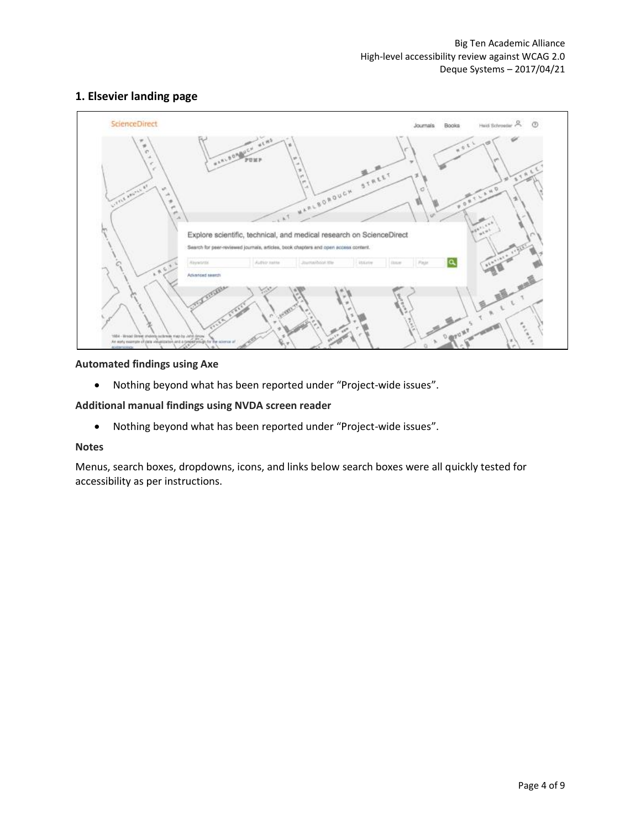#### **1. Elsevier landing page**



#### **Automated findings using Axe**

• Nothing beyond what has been reported under "Project-wide issues".

#### **Additional manual findings using NVDA screen reader**

• Nothing beyond what has been reported under "Project-wide issues".

#### **Notes**

Menus, search boxes, dropdowns, icons, and links below search boxes were all quickly tested for accessibility as per instructions.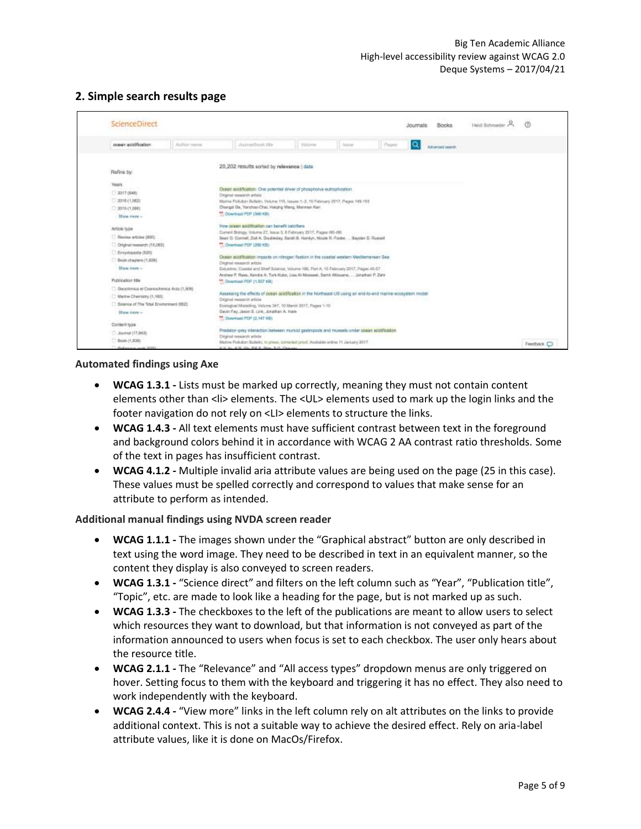#### **2. Simple search results page**

| <b>ScienceDirect</b>                                                                                                                |                                                                                                                                                                                                                                                                                                                                                      |               |              | Journals   | Books           | Heidi Schroeder / |                         |
|-------------------------------------------------------------------------------------------------------------------------------------|------------------------------------------------------------------------------------------------------------------------------------------------------------------------------------------------------------------------------------------------------------------------------------------------------------------------------------------------------|---------------|--------------|------------|-----------------|-------------------|-------------------------|
| poser acidification<br>Author name                                                                                                  | Journaldssoc life                                                                                                                                                                                                                                                                                                                                    | <b>Volume</b> | <b>Autum</b> | Q<br>Pages | Advanced search |                   |                         |
| Refine by:                                                                                                                          | 20,202 results sorted by relevance   date                                                                                                                                                                                                                                                                                                            |               |              |            |                 |                   |                         |
| <b>Years</b><br>12017 (648)<br>2018 (1.582)<br>□ 2015 (1,888)<br>Show more -                                                        | Dosan acidification: One potential driver of phosphorve eutrophication<br>Driginal research article<br>Marina Pollution Bulletin, Volume 115, tosues 1-2, 15 February 2017, Plages 149-153<br>Drangzi Ge, Yancheo Chai, Halcing Weng, Manman Kan<br>"T. Download PDF (346 KB)                                                                        |               |              |            |                 |                   |                         |
| Actiole type<br>C Review articles (850)<br>Chiginal research (15,063)                                                               | How power acidification can benefit calcifiers<br>Current Biology, Volume 27, Issue 3, 6 February 2017, Pages 685-681<br>Sean D. Connell, Zoë A. Doubleday, Sarah B. Hamilyn, Nicole R. Foster,  Bayder D. Russell<br><sup>44</sup> . Oceanisast PDP (200 KB)                                                                                        |               |              |            |                 |                   |                         |
| Encyclopedia (120)<br>GRAN Chairman (1,838)<br><b>Show Inter-</b><br>Publication title                                              | Dosan acidification impacts on nitrogen floston in the coastal western Mecherranean Sea.<br>Druginal nesearch article<br>Estuarine: Coastal and Shelf Science, Volume 198, Part A, 15 February 2017, Pages 45-57<br>Andrew P. Raws, Kendra A. Turk-Kubo, Liss Al-Moosew, Santi Alliouane,  Jonathan P. Zahr<br><sup>44</sup> Download PDF (1.507 KB) |               |              |            |                 |                   |                         |
| C: Geochimics et Cosmochimics Acto (1,908)<br>/ Martne Chemistry (1,1920)<br>Solarics of The Total Environment (652)<br>Show Inter- | Assessing the effects of posan adiditionitie in the Northsalt US using an end-to-end marine ecosystem model<br>Drightal research article<br>Ecological Modeling, Volume 347, 10 March 2017, Pages 1-10-<br>Gavin Fay, Jason S. Link, Jonathan A. Hare-<br><sup>84</sup> Download PDF (2.147 KB)                                                      |               |              |            |                 |                   |                         |
| Content type<br>D. Journal (17,843)<br>(903,1) dools (1)                                                                            | Predator-prey interaction between municid gastropods and mussels under poses acidification<br>Drightal remearch article<br>Martine Pollution Bulletin, in press, connoted proof, Australia online 11 January 2017                                                                                                                                    |               |              |            |                 |                   | Feedback <sup>(2)</sup> |

#### **Automated findings using Axe**

- **WCAG 1.3.1 -** Lists must be marked up correctly, meaning they must not contain content elements other than <li> elements. The <UL> elements used to mark up the login links and the footer navigation do not rely on <LI> elements to structure the links.
- **WCAG 1.4.3 -** All text elements must have sufficient contrast between text in the foreground and background colors behind it in accordance with WCAG 2 AA contrast ratio thresholds. Some of the text in pages has insufficient contrast.
- **WCAG 4.1.2 -** Multiple invalid aria attribute values are being used on the page (25 in this case). These values must be spelled correctly and correspond to values that make sense for an attribute to perform as intended.

- **WCAG 1.1.1 -** The images shown under the "Graphical abstract" button are only described in text using the word image. They need to be described in text in an equivalent manner, so the content they display is also conveyed to screen readers.
- **WCAG 1.3.1 -** "Science direct" and filters on the left column such as "Year", "Publication title", "Topic", etc. are made to look like a heading for the page, but is not marked up as such.
- **WCAG 1.3.3 -** The checkboxes to the left of the publications are meant to allow users to select which resources they want to download, but that information is not conveyed as part of the information announced to users when focus is set to each checkbox. The user only hears about the resource title.
- **WCAG 2.1.1 -** The "Relevance" and "All access types" dropdown menus are only triggered on hover. Setting focus to them with the keyboard and triggering it has no effect. They also need to work independently with the keyboard.
- **WCAG 2.4.4 -** "View more" links in the left column rely on alt attributes on the links to provide additional context. This is not a suitable way to achieve the desired effect. Rely on aria-label attribute values, like it is done on MacOs/Firefox.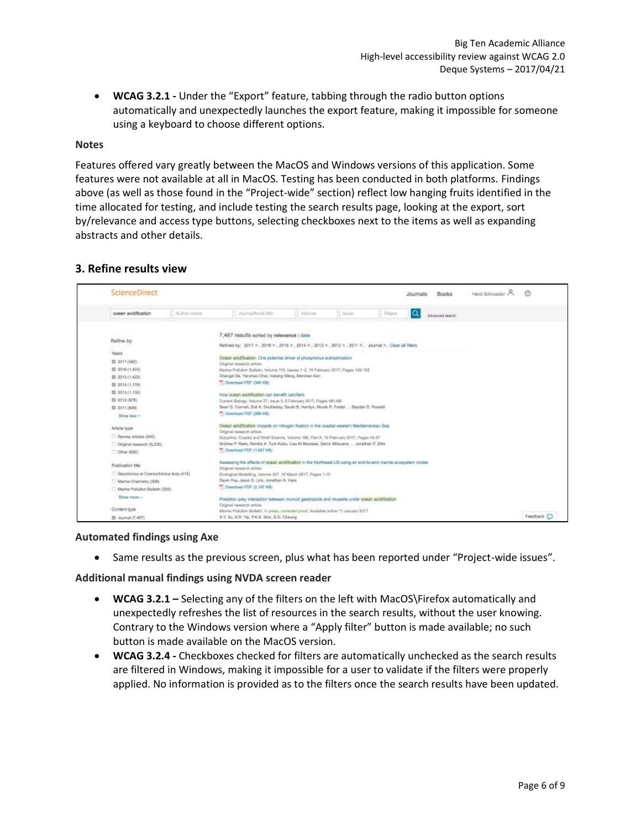• **WCAG 3.2.1 -** Under the "Export" feature, tabbing through the radio button options automatically and unexpectedly launches the export feature, making it impossible for someone using a keyboard to choose different options.

#### **Notes**

Features offered vary greatly between the MacOS and Windows versions of this application. Some features were not available at all in MacOS. Testing has been conducted in both platforms. Findings above (as well as those found in the "Project-wide" section) reflect low hanging fruits identified in the time allocated for testing, and include testing the search results page, looking at the export, sort by/relevance and access type buttons, selecting checkboxes next to the items as well as expanding abstracts and other details.

#### **3. Refine results view**

| <b>ScienceDirect</b>                                                                                                                                                                                                                                                                                                                                                                                        |             |                                                                                                                                                                                                                                                                                                                                                                                                                                                                                                                                                                                                                                                                                                                                                                                                                                                                                                                                                                                                                                                                                                                                                                                                                                                                                                                                                |               |              |       | <b>Books</b><br>Journals | Heidi Behroeder |            |
|-------------------------------------------------------------------------------------------------------------------------------------------------------------------------------------------------------------------------------------------------------------------------------------------------------------------------------------------------------------------------------------------------------------|-------------|------------------------------------------------------------------------------------------------------------------------------------------------------------------------------------------------------------------------------------------------------------------------------------------------------------------------------------------------------------------------------------------------------------------------------------------------------------------------------------------------------------------------------------------------------------------------------------------------------------------------------------------------------------------------------------------------------------------------------------------------------------------------------------------------------------------------------------------------------------------------------------------------------------------------------------------------------------------------------------------------------------------------------------------------------------------------------------------------------------------------------------------------------------------------------------------------------------------------------------------------------------------------------------------------------------------------------------------------|---------------|--------------|-------|--------------------------|-----------------|------------|
| cosan acidification.                                                                                                                                                                                                                                                                                                                                                                                        | Author name | Journal/book HW                                                                                                                                                                                                                                                                                                                                                                                                                                                                                                                                                                                                                                                                                                                                                                                                                                                                                                                                                                                                                                                                                                                                                                                                                                                                                                                                | <b>Volume</b> | <b>Josia</b> | Págus | Q<br>Advanced search     |                 |            |
| 100210-003<br>Refine by:<br>Years<br>图 2017 (582)<br>ED 2016 (1,423)<br>图 2015 (1.422)<br>图 2014 (1,178)<br>图 2013 (1,136)<br>图 2012 (678)<br>(5: 2011 1545).<br>Show less in<br>Article type<br><b>D</b> Review articles (545)<br>Chiginal research (6,230)<br>D Other (650)<br>Publication title<br>C Genotimics et Coursochimics Acto (415)<br>Marine Chemistry (308)<br>Marine Pollution Bulletin (305) |             | 7,467 results sorted by relevance ( date<br>Refined by: 2017 × 2016 × 2015 × 2014 × 2013 × 2012 × 2011 × Journal × Clear at fiters<br>Doesn acidification: One potential driver of phosphorus eutrophication<br>Driginal research article<br>Martne Pollution Bulletin, Volume 113, Issues: 1-2, 15 February 2017, Pages 149-153-<br>Chengzi Ge, Yanchao Chai, Halging Wang, Mannuin Kan<br><sup>99</sup> Ocertised PDF (346 KB)<br>How doesn additication can benefit calcifiers<br>Current Biology, Volume 27, Issue 3, 6 February 2017, Pages #85-460<br>Sean D. Connell, Zoè A. Doubleday, Sandri B. Hamlyn, Mosle R. Foster,  Bayden D. Russell<br>**. Opwritted PDF (399 KB)<br>Oceani acidification impacts on nitrogen fluation in the coastal western Mediterranean Saa<br>Original research article<br>Estuarina, Coastal and Staff Soletos, Volume 186, Part A, 15 February 2017, Pages 46-57<br>Andrew P. Rene, Kendra A. Turk Kubo, Lisa Al-Monsovi, Sarnir Allisuane,  Jonathan P. Zehr<br><sup>44</sup> Oceanised PDF 11,607 KB)<br>Assessing the effects of opean acadibation in the Northeast US using an end-to-end manne ecosystem reoder<br>Driginal research article<br>Equingical Modeling, Volume 267, 10 March 2017, Pages 1-H2<br>Bavin Ray, Jason B. Link, Jonathan A. Hare<br><sup>44</sup> Download PDF (2.147 KB) |               |              |       |                          |                 |            |
| Show more -<br>Content type<br>ED Journal (T.467)                                                                                                                                                                                                                                                                                                                                                           |             | Predator-prey interaction terlween muricid gastropods and mussels under soean acidification<br>Driginal research article.<br>Marine Pollution Balletin, in press, periected prodi, Asalable online 11 January 2017<br>X-Y. Xa, K.R. Yip, P.K.S. Shin, S.G. Cheung,                                                                                                                                                                                                                                                                                                                                                                                                                                                                                                                                                                                                                                                                                                                                                                                                                                                                                                                                                                                                                                                                             |               |              |       |                          |                 | Feedback C |

#### **Automated findings using Axe**

• Same results as the previous screen, plus what has been reported under "Project-wide issues".

- **WCAG 3.2.1 –** Selecting any of the filters on the left with MacOS\Firefox automatically and unexpectedly refreshes the list of resources in the search results, without the user knowing. Contrary to the Windows version where a "Apply filter" button is made available; no such button is made available on the MacOS version.
- **WCAG 3.2.4 -** Checkboxes checked for filters are automatically unchecked as the search results are filtered in Windows, making it impossible for a user to validate if the filters were properly applied. No information is provided as to the filters once the search results have been updated.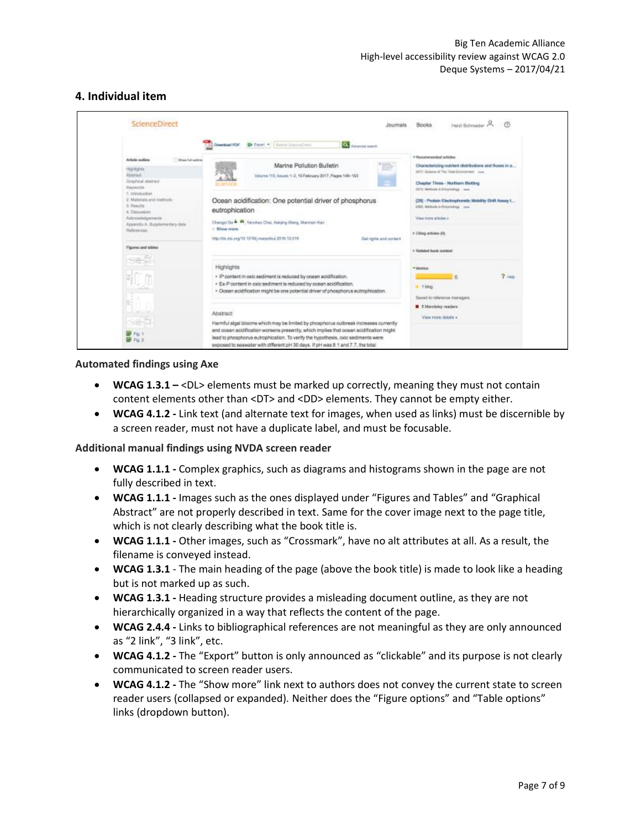#### **4. Individual item**

|                                                                                                                                                                                  | Hedi Bohrooder<br><b>Books</b><br>Joumals                                                                                                                                    |
|----------------------------------------------------------------------------------------------------------------------------------------------------------------------------------|------------------------------------------------------------------------------------------------------------------------------------------------------------------------------|
| <b>Question PDF</b> Dent * [ Land Landsher<br>Afterwood sparst                                                                                                                   | * Reconstrainted artistics                                                                                                                                                   |
| Marine Pollution Bulletin<br>Volume 115, Iosuen 1-2, 15 February 2017, Pages 149-153                                                                                             | Characterizing nutrient distributions and fluxes in a<br>2017, Science of The Total Emergencer Ave.<br>Chapter Three - Northern Blotting<br>2072; Methods is Enjoyminge very |
| Ocean acidification: One potential driver of phosphorus<br>eutrophication                                                                                                        | (29) - Protein Electrophoretic Mobility Shift Amery L.<br>2002, Melloda is Principledale very<br>Visua focula simiciata a                                                    |
| Changel Go A. M., Yanchoo Chai, Holging Warg, Manman Kan<br>http://dx.doi.org/10.1016/j.marpolloul.2016.12.016<br>Get rights and content                                         | + Citing articles (A).                                                                                                                                                       |
| · IP content in calc sediment is reduced by cosen acidification.                                                                                                                 | 1- Heletest book combett<br>* Manifest<br>$2 - m$                                                                                                                            |
| · Ex-P content in oxic sediment is reduced by ocean acidification.<br>· Ocean acidification might be one potential driver of phosphorus eutrophication.                          | ill - 1 blog<br>Seved to reference managers                                                                                                                                  |
| Harmful algal blooms which may be limited by phosphorus outbreak increases currently<br>and ocean acidification worsers presently, which implies that ocean acidification might. | 5 Membries readers<br>View more dotain a                                                                                                                                     |
|                                                                                                                                                                                  | lead to phosphorus eutrophication. To verify the hypothesis, cxic sediments were<br>exposed to seawater with different pH 30 days. If pH was 8.1 and 7.7, the total          |

#### **Automated findings using Axe**

- **WCAG 1.3.1 –** <DL> elements must be marked up correctly, meaning they must not contain content elements other than <DT> and <DD> elements. They cannot be empty either.
- **WCAG 4.1.2 -** Link text (and alternate text for images, when used as links) must be discernible by a screen reader, must not have a duplicate label, and must be focusable.

- **WCAG 1.1.1 -** Complex graphics, such as diagrams and histograms shown in the page are not fully described in text.
- **WCAG 1.1.1 -** Images such as the ones displayed under "Figures and Tables" and "Graphical Abstract" are not properly described in text. Same for the cover image next to the page title, which is not clearly describing what the book title is.
- **WCAG 1.1.1 -** Other images, such as "Crossmark", have no alt attributes at all. As a result, the filename is conveyed instead.
- **WCAG 1.3.1** The main heading of the page (above the book title) is made to look like a heading but is not marked up as such.
- **WCAG 1.3.1 -** Heading structure provides a misleading document outline, as they are not hierarchically organized in a way that reflects the content of the page.
- **WCAG 2.4.4 -** Links to bibliographical references are not meaningful as they are only announced as "2 link", "3 link", etc.
- **WCAG 4.1.2 -** The "Export" button is only announced as "clickable" and its purpose is not clearly communicated to screen reader users.
- **WCAG 4.1.2 -** The "Show more" link next to authors does not convey the current state to screen reader users (collapsed or expanded). Neither does the "Figure options" and "Table options" links (dropdown button).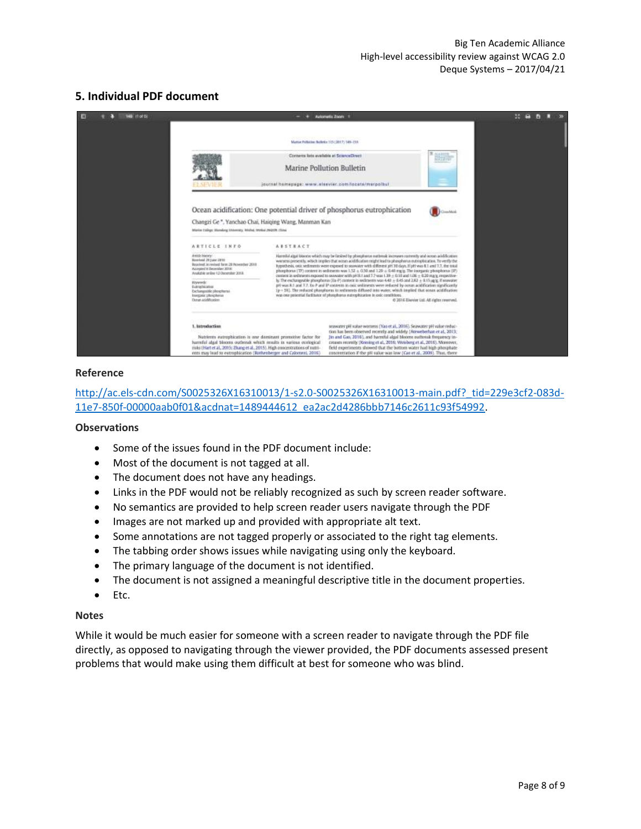#### **5. Individual PDF document**



#### **Reference**

[http://ac.els-cdn.com/S0025326X16310013/1-s2.0-S0025326X16310013-main.pdf?\\_tid=229e3cf2-083d-](http://ac.els-cdn.com/S0025326X16310013/1-s2.0-S0025326X16310013-main.pdf?_tid=229e3cf2-083d-11e7-850f-00000aab0f01&acdnat=1489444612_ea2ac2d4286bbb7146c2611c93f54992)[11e7-850f-00000aab0f01&acdnat=1489444612\\_ea2ac2d4286bbb7146c2611c93f54992.](http://ac.els-cdn.com/S0025326X16310013/1-s2.0-S0025326X16310013-main.pdf?_tid=229e3cf2-083d-11e7-850f-00000aab0f01&acdnat=1489444612_ea2ac2d4286bbb7146c2611c93f54992)

#### **Observations**

- Some of the issues found in the PDF document include:
- Most of the document is not tagged at all.
- The document does not have any headings.
- Links in the PDF would not be reliably recognized as such by screen reader software.
- No semantics are provided to help screen reader users navigate through the PDF
- Images are not marked up and provided with appropriate alt text.
- Some annotations are not tagged properly or associated to the right tag elements.
- The tabbing order shows issues while navigating using only the keyboard.
- The primary language of the document is not identified.
- The document is not assigned a meaningful descriptive title in the document properties.
- Etc.

#### **Notes**

While it would be much easier for someone with a screen reader to navigate through the PDF file directly, as opposed to navigating through the viewer provided, the PDF documents assessed present problems that would make using them difficult at best for someone who was blind.